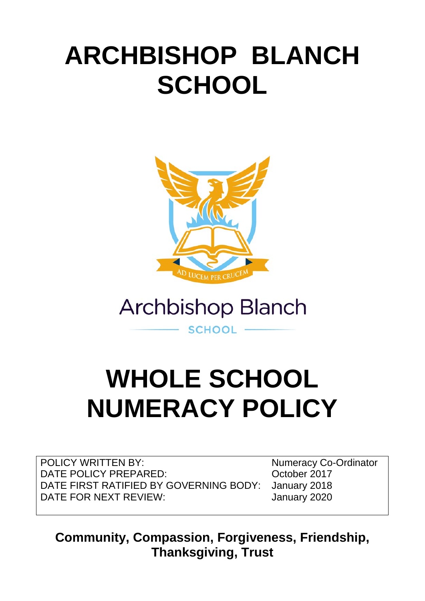# **ARCHBISHOP BLANCH SCHOOL**



**Archbishop Blanch** 

**SCHOOL** 

# **WHOLE SCHOOL NUMERACY POLICY**

POLICY WRITTEN BY: Numeracy Co-Ordinator DATE POLICY PREPARED: Corober 2017 DATE FIRST RATIFIED BY GOVERNING BODY: January 2018 DATE FOR NEXT REVIEW.

**Community, Compassion, Forgiveness, Friendship, Thanksgiving, Trust**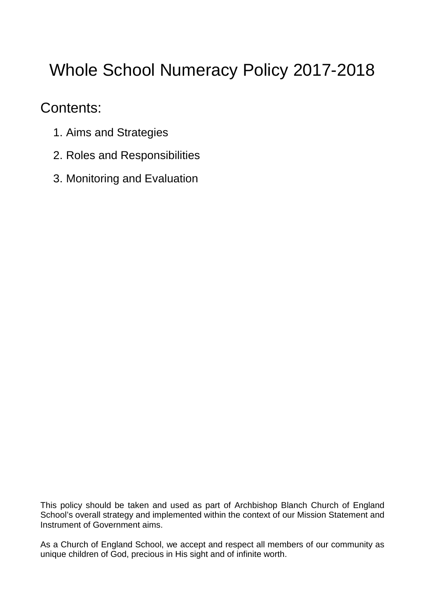# Whole School Numeracy Policy 2017-2018

# Contents:

- 1. Aims and Strategies
- 2. Roles and Responsibilities
- 3. Monitoring and Evaluation

This policy should be taken and used as part of Archbishop Blanch Church of England School's overall strategy and implemented within the context of our Mission Statement and Instrument of Government aims.

As a Church of England School, we accept and respect all members of our community as unique children of God, precious in His sight and of infinite worth.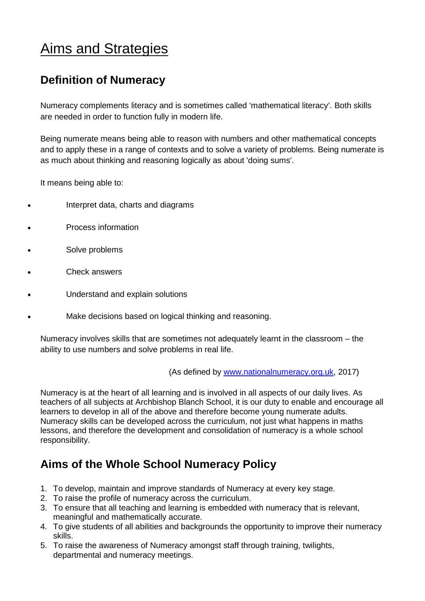# Aims and Strategies

# **Definition of Numeracy**

Numeracy complements literacy and is sometimes called 'mathematical literacy'. Both skills are needed in order to function fully in modern life.

Being numerate means being able to reason with numbers and other mathematical concepts and to apply these in a range of contexts and to solve a variety of problems. Being numerate is as much about thinking and reasoning logically as about 'doing sums'.

It means being able to:

- Interpret data, charts and diagrams
- Process information
- Solve problems
- Check answers
- Understand and explain solutions
- Make decisions based on logical thinking and reasoning.

Numeracy involves skills that are sometimes not adequately learnt in the classroom – the ability to use numbers and solve problems in real life.

(As defined by [www.nationalnumeracy.org.uk,](http://www.nationalnumeracy.org.uk/) 2017)

Numeracy is at the heart of all learning and is involved in all aspects of our daily lives. As teachers of all subjects at Archbishop Blanch School, it is our duty to enable and encourage all learners to develop in all of the above and therefore become young numerate adults. Numeracy skills can be developed across the curriculum, not just what happens in maths lessons, and therefore the development and consolidation of numeracy is a whole school responsibility.

# **Aims of the Whole School Numeracy Policy**

- 1. To develop, maintain and improve standards of Numeracy at every key stage.
- 2. To raise the profile of numeracy across the curriculum.
- 3. To ensure that all teaching and learning is embedded with numeracy that is relevant, meaningful and mathematically accurate.
- 4. To give students of all abilities and backgrounds the opportunity to improve their numeracy skills.
- 5. To raise the awareness of Numeracy amongst staff through training, twilights, departmental and numeracy meetings.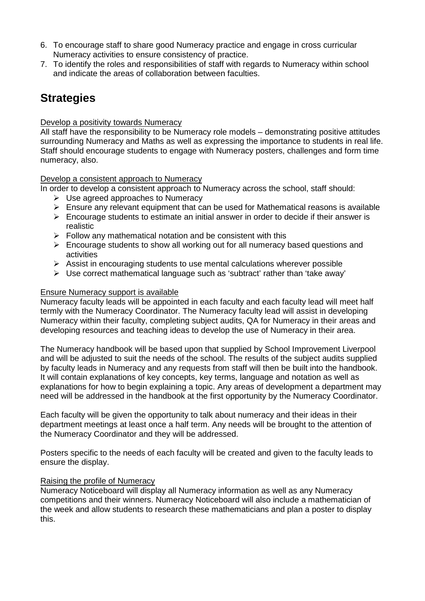- 6. To encourage staff to share good Numeracy practice and engage in cross curricular Numeracy activities to ensure consistency of practice.
- 7. To identify the roles and responsibilities of staff with regards to Numeracy within school and indicate the areas of collaboration between faculties.

# **Strategies**

#### Develop a positivity towards Numeracy

All staff have the responsibility to be Numeracy role models – demonstrating positive attitudes surrounding Numeracy and Maths as well as expressing the importance to students in real life. Staff should encourage students to engage with Numeracy posters, challenges and form time numeracy, also.

Develop a consistent approach to Numeracy

In order to develop a consistent approach to Numeracy across the school, staff should:

- $\triangleright$  Use agreed approaches to Numeracy
- $\triangleright$  Ensure any relevant equipment that can be used for Mathematical reasons is available
- $\triangleright$  Encourage students to estimate an initial answer in order to decide if their answer is realistic
- $\triangleright$  Follow any mathematical notation and be consistent with this
- $\triangleright$  Encourage students to show all working out for all numeracy based questions and activities
- $\triangleright$  Assist in encouraging students to use mental calculations wherever possible
- Use correct mathematical language such as 'subtract' rather than 'take away'

#### Ensure Numeracy support is available

Numeracy faculty leads will be appointed in each faculty and each faculty lead will meet half termly with the Numeracy Coordinator. The Numeracy faculty lead will assist in developing Numeracy within their faculty, completing subject audits, QA for Numeracy in their areas and developing resources and teaching ideas to develop the use of Numeracy in their area.

The Numeracy handbook will be based upon that supplied by School Improvement Liverpool and will be adjusted to suit the needs of the school. The results of the subject audits supplied by faculty leads in Numeracy and any requests from staff will then be built into the handbook. It will contain explanations of key concepts, key terms, language and notation as well as explanations for how to begin explaining a topic. Any areas of development a department may need will be addressed in the handbook at the first opportunity by the Numeracy Coordinator.

Each faculty will be given the opportunity to talk about numeracy and their ideas in their department meetings at least once a half term. Any needs will be brought to the attention of the Numeracy Coordinator and they will be addressed.

Posters specific to the needs of each faculty will be created and given to the faculty leads to ensure the display.

#### Raising the profile of Numeracy

Numeracy Noticeboard will display all Numeracy information as well as any Numeracy competitions and their winners. Numeracy Noticeboard will also include a mathematician of the week and allow students to research these mathematicians and plan a poster to display this.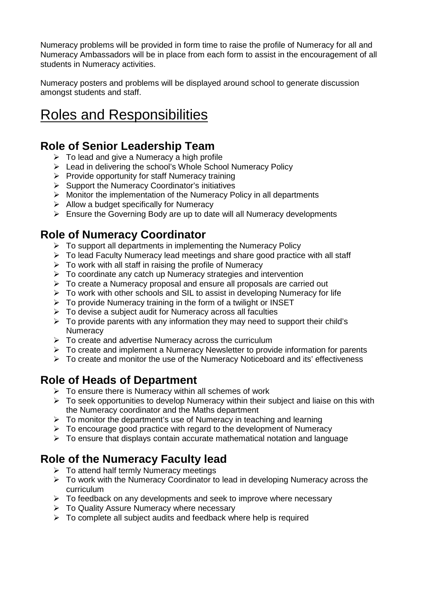Numeracy problems will be provided in form time to raise the profile of Numeracy for all and Numeracy Ambassadors will be in place from each form to assist in the encouragement of all students in Numeracy activities.

Numeracy posters and problems will be displayed around school to generate discussion amongst students and staff.

# Roles and Responsibilities

## **Role of Senior Leadership Team**

- $\triangleright$  To lead and give a Numeracy a high profile
- $\triangleright$  Lead in delivering the school's Whole School Numeracy Policy
- $\triangleright$  Provide opportunity for staff Numeracy training
- $\triangleright$  Support the Numeracy Coordinator's initiatives
- $\triangleright$  Monitor the implementation of the Numeracy Policy in all departments
- $\triangleright$  Allow a budget specifically for Numeracy
- $\triangleright$  Ensure the Governing Body are up to date will all Numeracy developments

## **Role of Numeracy Coordinator**

- $\triangleright$  To support all departments in implementing the Numeracy Policy
- To lead Faculty Numeracy lead meetings and share good practice with all staff
- $\triangleright$  To work with all staff in raising the profile of Numeracy
- $\triangleright$  To coordinate any catch up Numeracy strategies and intervention
- > To create a Numeracy proposal and ensure all proposals are carried out
- $\triangleright$  To work with other schools and SIL to assist in developing Numeracy for life
- $\triangleright$  To provide Numeracy training in the form of a twilight or INSET
- $\triangleright$  To devise a subject audit for Numeracy across all faculties
- $\triangleright$  To provide parents with any information they may need to support their child's **Numeracy**
- $\triangleright$  To create and advertise Numeracy across the curriculum
- $\triangleright$  To create and implement a Numeracy Newsletter to provide information for parents
- $\triangleright$  To create and monitor the use of the Numeracy Noticeboard and its' effectiveness

# **Role of Heads of Department**

- $\triangleright$  To ensure there is Numeracy within all schemes of work
- $\triangleright$  To seek opportunities to develop Numeracy within their subject and liaise on this with the Numeracy coordinator and the Maths department
- $\triangleright$  To monitor the department's use of Numeracy in teaching and learning
- $\triangleright$  To encourage good practice with regard to the development of Numeracy
- $\triangleright$  To ensure that displays contain accurate mathematical notation and language

# **Role of the Numeracy Faculty lead**

- $\triangleright$  To attend half termly Numeracy meetings
- $\triangleright$  To work with the Numeracy Coordinator to lead in developing Numeracy across the curriculum
- $\triangleright$  To feedback on anv developments and seek to improve where necessary
- > To Quality Assure Numeracy where necessary
- $\triangleright$  To complete all subject audits and feedback where help is required